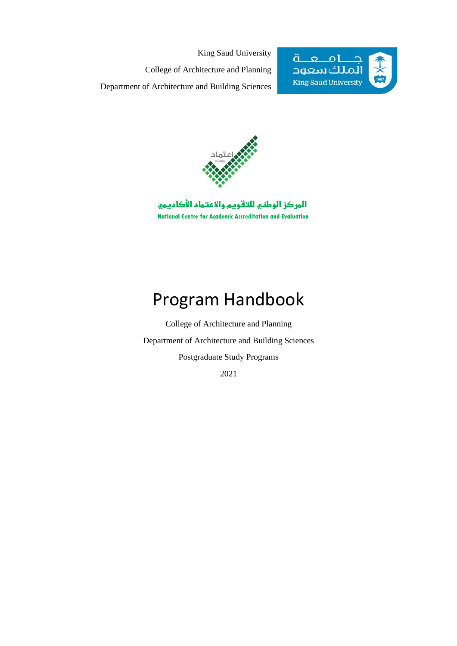King Saud University College of Architecture and Planning Department of Architecture and Building Sciences





المركز الوطني للتقويم والاعتماد الأكاديمي National Center for Academic Accreditation and Evaluation

# Program Handbook

College of Architecture and Planning Department of Architecture and Building Sciences Postgraduate Study Programs

2021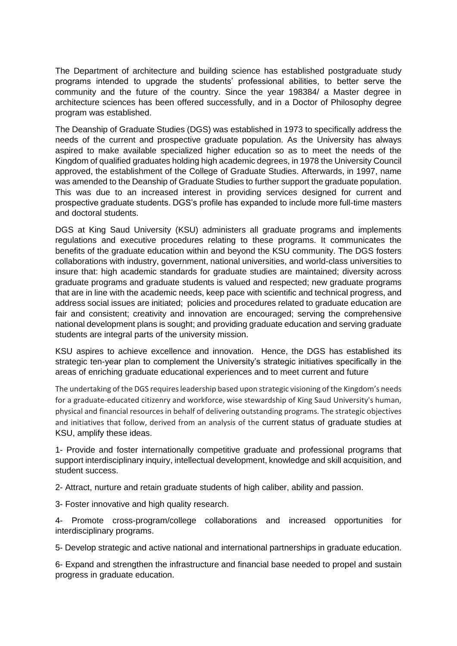The Department of architecture and building science has established postgraduate study programs intended to upgrade the students' professional abilities, to better serve the community and the future of the country. Since the year 198384/ a Master degree in architecture sciences has been offered successfully, and in a Doctor of Philosophy degree program was established.

The Deanship of Graduate Studies (DGS) was established in 1973 to specifically address the needs of the current and prospective graduate population. As the University has always aspired to make available specialized higher education so as to meet the needs of the Kingdom of qualified graduates holding high academic degrees, in 1978 the University Council approved, the establishment of the College of Graduate Studies. Afterwards, in 1997, name was amended to the Deanship of Graduate Studies to further support the graduate population. This was due to an increased interest in providing services designed for current and prospective graduate students. DGS's profile has expanded to include more full-time masters and doctoral students.

DGS at King Saud University (KSU) administers all graduate programs and implements regulations and executive procedures relating to these programs. It communicates the benefits of the graduate education within and beyond the KSU community. The DGS fosters collaborations with industry, government, national universities, and world-class universities to insure that: high academic standards for graduate studies are maintained; diversity across graduate programs and graduate students is valued and respected; new graduate programs that are in line with the academic needs, keep pace with scientific and technical progress, and address social issues are initiated; policies and procedures related to graduate education are fair and consistent; creativity and innovation are encouraged; serving the comprehensive national development plans is sought; and providing graduate education and serving graduate students are integral parts of the university mission.

KSU aspires to achieve excellence and innovation. Hence, the DGS has established its strategic ten-year plan to complement the University's strategic initiatives specifically in the areas of enriching graduate educational experiences and to meet current and future

The undertaking of the DGS requires leadership based upon strategic visioning of the Kingdom's needs for a graduate-educated citizenry and workforce, wise stewardship of King Saud University's human, physical and financial resources in behalf of delivering outstanding programs. The strategic objectives and initiatives that follow, derived from an analysis of the current status of graduate studies at KSU, amplify these ideas.

1- Provide and foster internationally competitive graduate and professional programs that support interdisciplinary inquiry, intellectual development, knowledge and skill acquisition, and student success.

2- Attract, nurture and retain graduate students of high caliber, ability and passion.

3- Foster innovative and high quality research.

4- Promote cross-program/college collaborations and increased opportunities for interdisciplinary programs.

5- Develop strategic and active national and international partnerships in graduate education.

6- Expand and strengthen the infrastructure and financial base needed to propel and sustain progress in graduate education.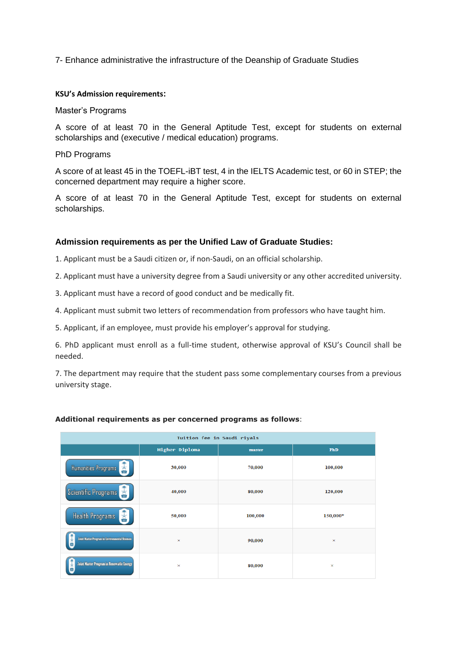7- Enhance administrative the infrastructure of the Deanship of Graduate Studies

#### **KSU's Admission requirements:**

#### Master's Programs

A score of at least 70 in the General Aptitude Test, except for students on external scholarships and (executive / medical education) programs.

#### PhD Programs

A score of at least 45 in the TOEFL-iBT test, 4 in the IELTS Academic test, or 60 in STEP; the concerned department may require a higher score.

A score of at least 70 in the General Aptitude Test, except for students on external scholarships.

#### **Admission requirements as per the Unified Law of Graduate Studies:**

1. Applicant must be a Saudi citizen or, if non-Saudi, on an official scholarship.

2. Applicant must have a university degree from a Saudi university or any other accredited university.

3. Applicant must have a record of good conduct and be medically fit.

4. Applicant must submit two letters of recommendation from professors who have taught him.

5. Applicant, if an employee, must provide his employer's approval for studying.

6. PhD applicant must enroll as a full-time student, otherwise approval of KSU's Council shall be needed.

7. The department may require that the student pass some complementary courses from a previous university stage.

#### Tuition fee in Saudi riyals Higher Diploma  $PhD$ master 30,000 70,000 100,000 **Humanities Programs Scientific Programs** 40,000 80,000 120,000 **Health Programs** 50,000 100,000 150,000\* **(Natur Program in Environmental S** 90,000 int Master Program in Renewable Energy 80,000

#### **Additional requirements as per concerned programs as follows**: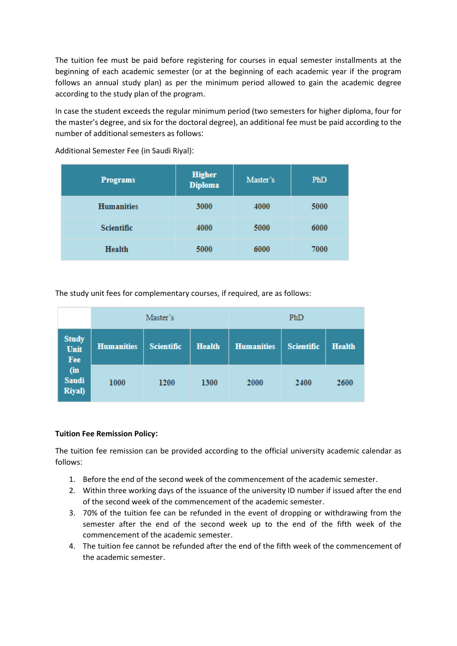The tuition fee must be paid before registering for courses in equal semester installments at the beginning of each academic semester (or at the beginning of each academic year if the program follows an annual study plan) as per the minimum period allowed to gain the academic degree according to the study plan of the program.

In case the student exceeds the regular minimum period (two semesters for higher diploma, four for the master's degree, and six for the doctoral degree), an additional fee must be paid according to the number of additional semesters as follows:

| <b>Programs</b>   | <b>Higher</b><br><b>Diploma</b> | Master's | PhD  |
|-------------------|---------------------------------|----------|------|
| <b>Humanities</b> | 3000                            | 4000     | 5000 |
| <b>Scientific</b> | 4000                            | 5000     | 6000 |
| <b>Health</b>     | 5000                            | 6000     | 7000 |

Additional Semester Fee (in Saudi Riyal):

The study unit fees for complementary courses, if required, are as follows:

|                                      | Master's          |                   |               | PhD               |                   |               |
|--------------------------------------|-------------------|-------------------|---------------|-------------------|-------------------|---------------|
| <b>Study</b><br>Unit<br>Fee          | <b>Humanities</b> | <b>Scientific</b> | <b>Health</b> | <b>Humanities</b> | <b>Scientific</b> | <b>Health</b> |
| (in<br><b>Saudi</b><br><b>Riyal)</b> | 1000              | 1200              | 1300          | 2000              | 2400              | 2600          |

### **Tuition Fee Remission Policy:**

The tuition fee remission can be provided according to the official university academic calendar as follows:

- 1. Before the end of the second week of the commencement of the academic semester.
- 2. Within three working days of the issuance of the university ID number if issued after the end of the second week of the commencement of the academic semester.
- 3. 70% of the tuition fee can be refunded in the event of dropping or withdrawing from the semester after the end of the second week up to the end of the fifth week of the commencement of the academic semester.
- 4. The tuition fee cannot be refunded after the end of the fifth week of the commencement of the academic semester.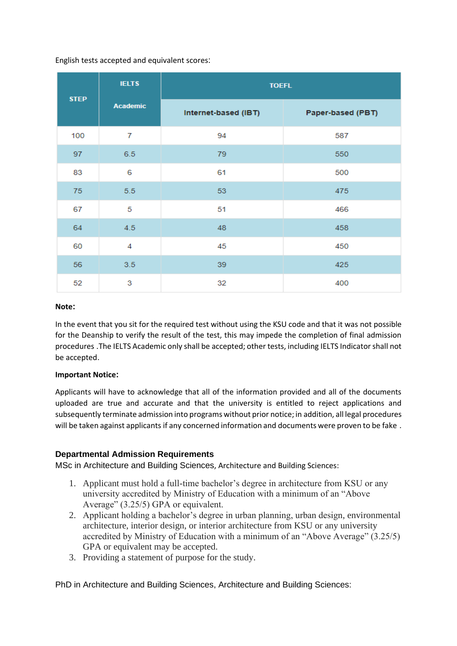English tests accepted and equivalent scores:

|             | <b>IELTS</b>    | <b>TOEFL</b>         |                   |
|-------------|-----------------|----------------------|-------------------|
| <b>STEP</b> | <b>Academic</b> | Internet-based (IBT) | Paper-based (PBT) |
| 100         | 7               | 94                   | 587               |
| 97          | 6.5             | 79                   | 550               |
| 83          | 6               | 61                   | 500               |
| 75          | 5.5             | 53                   | 475               |
| 67          | 5               | 51                   | 466               |
| 64          | 4.5             | 48                   | 458               |
| 60          | 4               | 45                   | 450               |
| 56          | 3.5             | 39                   | 425               |
| 52          | 3               | 32                   | 400               |

#### **Note:**

In the event that you sit for the required test without using the KSU code and that it was not possible for the Deanship to verify the result of the test, this may impede the completion of final admission procedures .The IELTS Academic only shall be accepted; other tests, including IELTS Indicator shall not be accepted.

#### **Important Notice:**

Applicants will have to acknowledge that all of the information provided and all of the documents uploaded are true and accurate and that the university is entitled to reject applications and subsequently terminate admission into programs without prior notice; in addition, all legal procedures will be taken against applicants if any concerned information and documents were proven to be fake.

### **Departmental Admission Requirements**

MSc in Architecture and Building Sciences, Architecture and Building Sciences:

- 1. Applicant must hold a full-time bachelor's degree in architecture from KSU or any university accredited by Ministry of Education with a minimum of an "Above Average" (3.25/5) GPA or equivalent.
- 2. Applicant holding a bachelor's degree in urban planning, urban design, environmental architecture, interior design, or interior architecture from KSU or any university accredited by Ministry of Education with a minimum of an "Above Average" (3.25/5) GPA or equivalent may be accepted.
- 3. Providing a statement of purpose for the study.

PhD in Architecture and Building Sciences, Architecture and Building Sciences: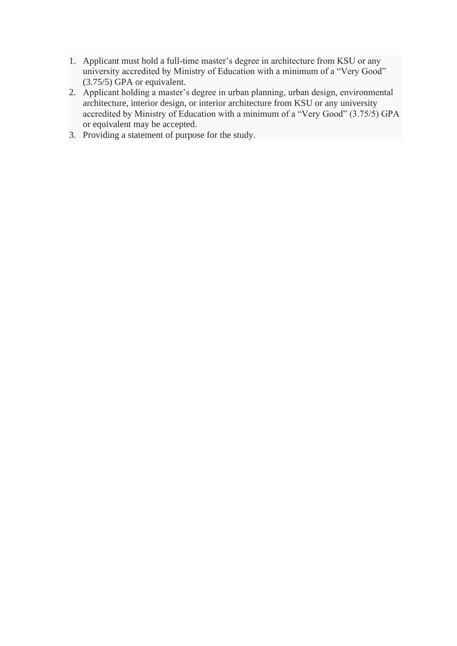- 1. Applicant must hold a full-time master's degree in architecture from KSU or any university accredited by Ministry of Education with a minimum of a "Very Good" (3.75/5) GPA or equivalent.
- 2. Applicant holding a master's degree in urban planning, urban design, environmental architecture, interior design, or interior architecture from KSU or any university accredited by Ministry of Education with a minimum of a "Very Good" (3.75/5) GPA or equivalent may be accepted.
- 3. Providing a statement of purpose for the study.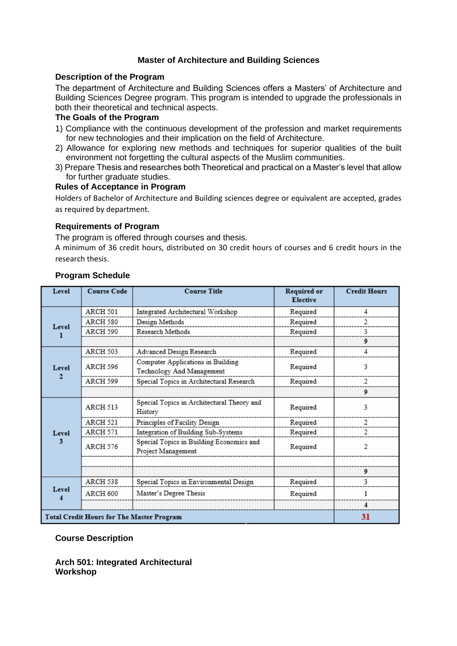### **Master of Architecture and Building Sciences**

#### **Description of the Program**

The department of Architecture and Building Sciences offers a Masters' of Architecture and Building Sciences Degree program. This program is intended to upgrade the professionals in both their theoretical and technical aspects.

#### **The Goals of the Program**

- 1) Compliance with the continuous development of the profession and market requirements for new technologies and their implication on the field of Architecture.
- 2) Allowance for exploring new methods and techniques for superior qualities of the built environment not forgetting the cultural aspects of the Muslim communities.
- 3) Prepare Thesis and researches both Theoretical and practical on a Master's level that allow for further graduate studies.

#### **Rules of Acceptance in Program**

Holders of Bachelor of Architecture and Building sciences degree or equivalent are accepted, grades as required by department.

#### **Requirements of Program**

The program is offered through courses and thesis.

A minimum of 36 credit hours, distributed on 30 credit hours of courses and 6 credit hours in the research thesis.

| Level                                            | <b>Course Code</b> | <b>Course Title</b>                                            | Required or<br><b>Elective</b> | <b>Credit Hours</b>      |
|--------------------------------------------------|--------------------|----------------------------------------------------------------|--------------------------------|--------------------------|
| Level                                            | ARCH 501           | Integrated Architectural Workshop                              | Required                       | 4                        |
|                                                  | ARCH 580           | Design Methods                                                 | Required                       | 2                        |
|                                                  | ARCH 590           | Research Methods                                               | Required                       | 3                        |
|                                                  |                    |                                                                |                                | 9                        |
| Level<br>$\mathbf{2}$                            | ARCH 503           | Advanced Design Research                                       | Required                       | 4                        |
|                                                  | ARCH 596           | Computer Applications in Building<br>Technology And Management | Required                       | 3                        |
|                                                  | ARCH 599           | Special Topics in Architectural Research                       | Required                       | 2                        |
|                                                  |                    |                                                                |                                | 9                        |
| Level<br>3                                       | ARCH 513           | Special Topics in Architectural Theory and<br>History          | Required                       | 3                        |
|                                                  | ARCH 521           | Principles of Facility Design                                  | Required                       | 2                        |
|                                                  | ARCH 571           | Integration of Building Sub-Systems                            | Required                       | 2                        |
|                                                  | ARCH 576           | Special Topics in Building Economics and<br>Project Management | Required                       | $\overline{\mathcal{L}}$ |
|                                                  |                    |                                                                |                                |                          |
|                                                  |                    |                                                                |                                | 9                        |
| Level                                            | ARCH 538           | Special Topics in Environmental Design                         | Required                       | 3                        |
|                                                  | ARCH 600           | Master's Degree Thesis                                         | Required                       |                          |
|                                                  |                    |                                                                |                                | 4                        |
| <b>Total Credit Hours for The Master Program</b> |                    |                                                                |                                | 31                       |

### **Program Schedule**

#### **Course Description**

**Arch 501: Integrated Architectural Workshop**